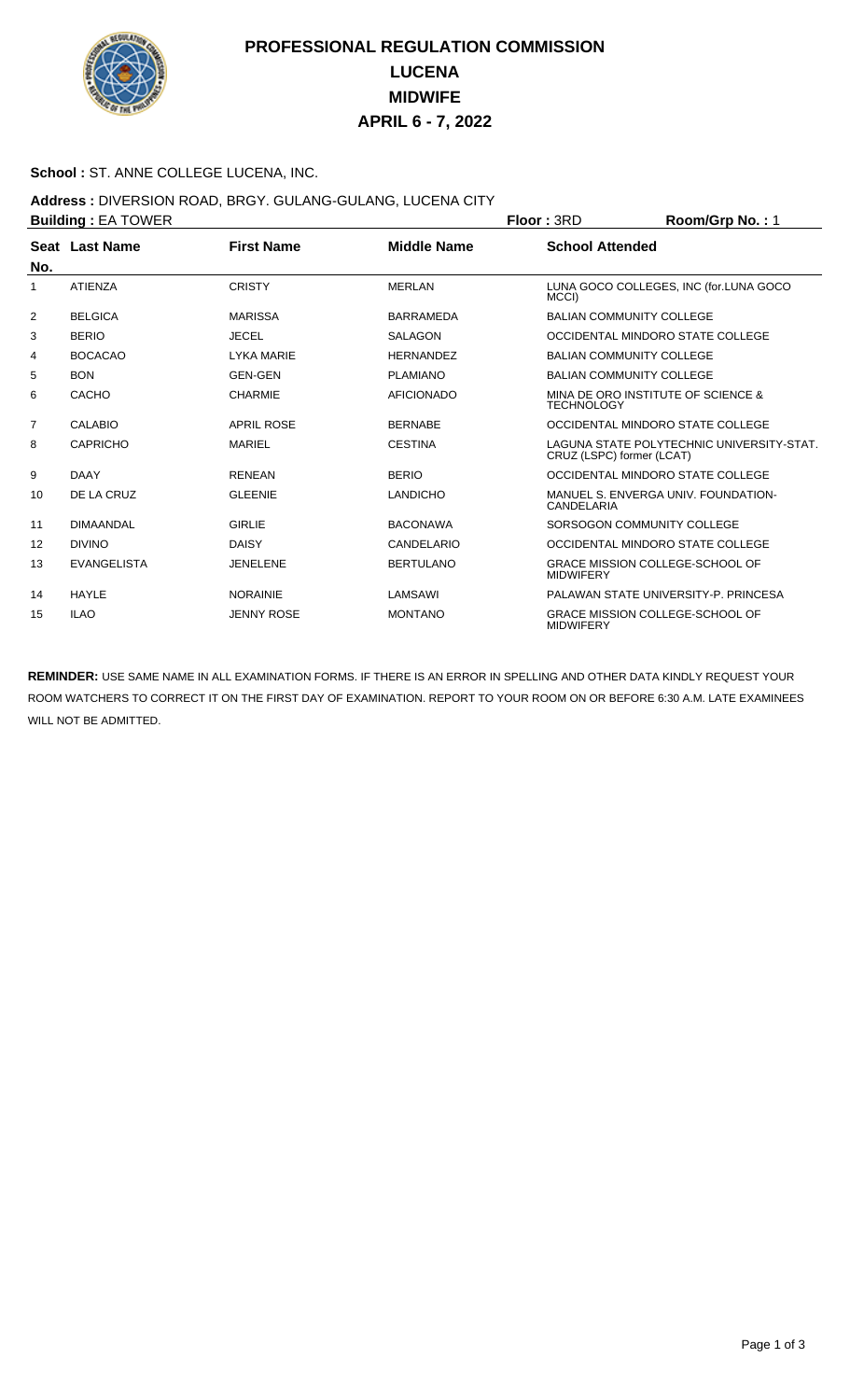

# **PROFESSIONAL REGULATION COMMISSION LUCENA MIDWIFE APRIL 6 - 7, 2022**

#### **School :** ST. ANNE COLLEGE LUCENA, INC.

### **Address :** DIVERSION ROAD, BRGY. GULANG-GULANG, LUCENA CITY

|                | <b>Building: EA TOWER</b> |                   | <b>Floor: 3RD</b>  | Room/Grp No.: 1                                                        |                                        |  |
|----------------|---------------------------|-------------------|--------------------|------------------------------------------------------------------------|----------------------------------------|--|
|                | Seat Last Name            | <b>First Name</b> | <b>Middle Name</b> | <b>School Attended</b>                                                 |                                        |  |
| No.            |                           |                   |                    |                                                                        |                                        |  |
| 1              | <b>ATIENZA</b>            | <b>CRISTY</b>     | <b>MERLAN</b>      | MCCI)                                                                  | LUNA GOCO COLLEGES, INC (for.LUNA GOCO |  |
| 2              | <b>BELGICA</b>            | <b>MARISSA</b>    | <b>BARRAMEDA</b>   |                                                                        | <b>BALIAN COMMUNITY COLLEGE</b>        |  |
| 3              | <b>BERIO</b>              | <b>JECEL</b>      | <b>SALAGON</b>     |                                                                        | OCCIDENTAL MINDORO STATE COLLEGE       |  |
| 4              | <b>BOCACAO</b>            | <b>LYKA MARIE</b> | <b>HERNANDEZ</b>   |                                                                        | <b>BALIAN COMMUNITY COLLEGE</b>        |  |
| 5              | <b>BON</b>                | <b>GEN-GEN</b>    | <b>PLAMIANO</b>    | <b>BALIAN COMMUNITY COLLEGE</b>                                        |                                        |  |
| 6              | CACHO                     | <b>CHARMIE</b>    | <b>AFICIONADO</b>  | MINA DE ORO INSTITUTE OF SCIENCE &<br><b>TECHNOLOGY</b>                |                                        |  |
| $\overline{7}$ | CALABIO                   | <b>APRIL ROSE</b> | <b>BERNABE</b>     |                                                                        | OCCIDENTAL MINDORO STATE COLLEGE       |  |
| 8              | <b>CAPRICHO</b>           | <b>MARIEL</b>     | <b>CESTINA</b>     | LAGUNA STATE POLYTECHNIC UNIVERSITY-STAT.<br>CRUZ (LSPC) former (LCAT) |                                        |  |
| 9              | <b>DAAY</b>               | <b>RENEAN</b>     | <b>BERIO</b>       | OCCIDENTAL MINDORO STATE COLLEGE                                       |                                        |  |
| 10             | DE LA CRUZ                | <b>GLEENIE</b>    | <b>LANDICHO</b>    | MANUEL S. ENVERGA UNIV. FOUNDATION-<br>CANDELARIA                      |                                        |  |
| 11             | <b>DIMAANDAL</b>          | <b>GIRLIE</b>     | <b>BACONAWA</b>    | SORSOGON COMMUNITY COLLEGE                                             |                                        |  |
| 12             | <b>DIVINO</b>             | <b>DAISY</b>      | CANDELARIO         | OCCIDENTAL MINDORO STATE COLLEGE                                       |                                        |  |
| 13             | <b>EVANGELISTA</b>        | <b>JENELENE</b>   | <b>BERTULANO</b>   | <b>GRACE MISSION COLLEGE-SCHOOL OF</b><br><b>MIDWIFERY</b>             |                                        |  |
| 14             | HAYLE                     | <b>NORAINIE</b>   | LAMSAWI            |                                                                        | PALAWAN STATE UNIVERSITY-P. PRINCESA   |  |
| 15             | <b>ILAO</b>               | <b>JENNY ROSE</b> | <b>MONTANO</b>     | <b>GRACE MISSION COLLEGE-SCHOOL OF</b><br><b>MIDWIFERY</b>             |                                        |  |

**REMINDER:** USE SAME NAME IN ALL EXAMINATION FORMS. IF THERE IS AN ERROR IN SPELLING AND OTHER DATA KINDLY REQUEST YOUR ROOM WATCHERS TO CORRECT IT ON THE FIRST DAY OF EXAMINATION. REPORT TO YOUR ROOM ON OR BEFORE 6:30 A.M. LATE EXAMINEES WILL NOT BE ADMITTED.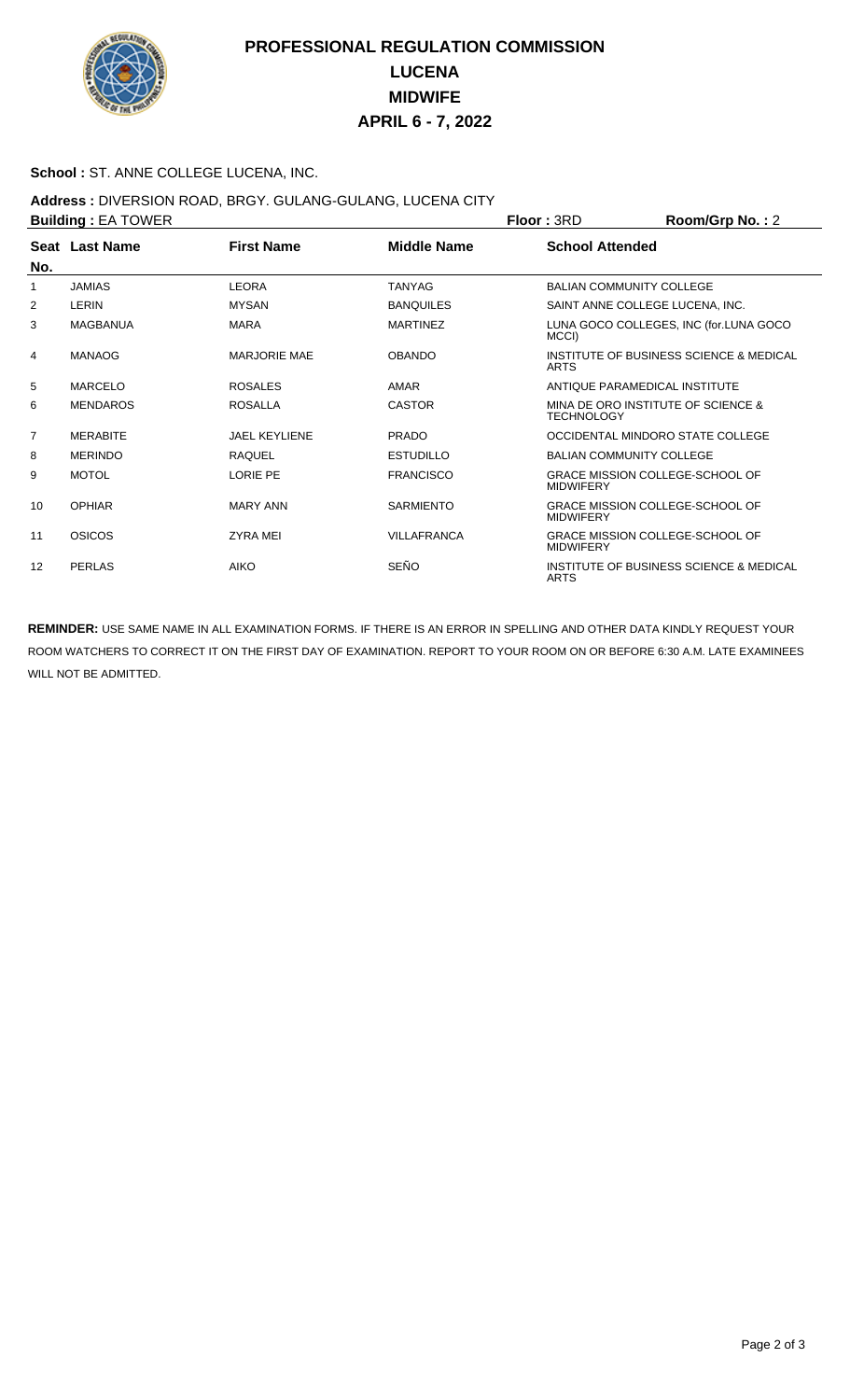

# **PROFESSIONAL REGULATION COMMISSION LUCENA MIDWIFE APRIL 6 - 7, 2022**

#### **School :** ST. ANNE COLLEGE LUCENA, INC.

### **Address :** DIVERSION ROAD, BRGY. GULANG-GULANG, LUCENA CITY

|     | <b>Building: EA TOWER</b> |                      | <b>Floor: 3RD</b>  | Room/Grp No.: 2                                        |                                         |  |
|-----|---------------------------|----------------------|--------------------|--------------------------------------------------------|-----------------------------------------|--|
|     | Seat Last Name            | <b>First Name</b>    | <b>Middle Name</b> | <b>School Attended</b>                                 |                                         |  |
| No. |                           |                      |                    |                                                        |                                         |  |
| 1   | <b>JAMIAS</b>             | <b>LEORA</b>         | <b>TANYAG</b>      |                                                        | <b>BALIAN COMMUNITY COLLEGE</b>         |  |
| 2   | LERIN                     | <b>MYSAN</b>         | <b>BANQUILES</b>   |                                                        | SAINT ANNE COLLEGE LUCENA, INC.         |  |
| 3   | <b>MAGBANUA</b>           | <b>MARA</b>          | <b>MARTINEZ</b>    | MCCI)                                                  | LUNA GOCO COLLEGES, INC (for.LUNA GOCO  |  |
| 4   | <b>MANAOG</b>             | <b>MARJORIE MAE</b>  | <b>OBANDO</b>      | <b>ARTS</b>                                            | INSTITUTE OF BUSINESS SCIENCE & MEDICAL |  |
| 5   | <b>MARCELO</b>            | <b>ROSALES</b>       | AMAR               |                                                        | ANTIQUE PARAMEDICAL INSTITUTE           |  |
| 6   | <b>MENDAROS</b>           | <b>ROSALLA</b>       | <b>CASTOR</b>      | <b>TECHNOLOGY</b>                                      | MINA DE ORO INSTITUTE OF SCIENCE &      |  |
| 7   | <b>MERABITE</b>           | <b>JAEL KEYLIENE</b> | <b>PRADO</b>       |                                                        | OCCIDENTAL MINDORO STATE COLLEGE        |  |
| 8   | <b>MERINDO</b>            | <b>RAQUEL</b>        | <b>ESTUDILLO</b>   |                                                        | <b>BALIAN COMMUNITY COLLEGE</b>         |  |
| 9   | <b>MOTOL</b>              | <b>LORIE PE</b>      | <b>FRANCISCO</b>   | <b>MIDWIFERY</b>                                       | <b>GRACE MISSION COLLEGE-SCHOOL OF</b>  |  |
| 10  | <b>OPHIAR</b>             | <b>MARY ANN</b>      | <b>SARMIENTO</b>   | <b>MIDWIFERY</b>                                       | <b>GRACE MISSION COLLEGE-SCHOOL OF</b>  |  |
| 11  | OSICOS                    | <b>ZYRA MEI</b>      | <b>VILLAFRANCA</b> | <b>MIDWIFERY</b>                                       | <b>GRACE MISSION COLLEGE-SCHOOL OF</b>  |  |
| 12  | <b>PERLAS</b>             | <b>AIKO</b>          | SEÑO               | INSTITUTE OF BUSINESS SCIENCE & MEDICAL<br><b>ARTS</b> |                                         |  |

**REMINDER:** USE SAME NAME IN ALL EXAMINATION FORMS. IF THERE IS AN ERROR IN SPELLING AND OTHER DATA KINDLY REQUEST YOUR ROOM WATCHERS TO CORRECT IT ON THE FIRST DAY OF EXAMINATION. REPORT TO YOUR ROOM ON OR BEFORE 6:30 A.M. LATE EXAMINEES WILL NOT BE ADMITTED.